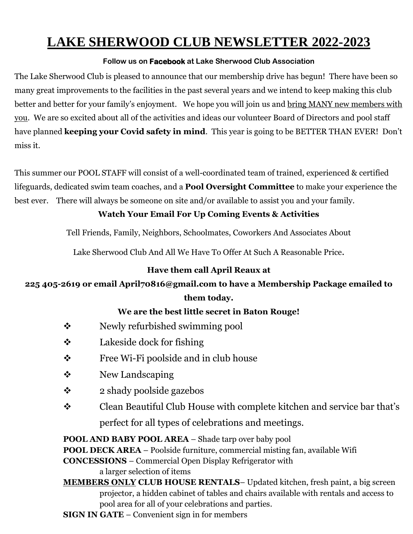## **LAKE SHERWOOD CLUB NEWSLETTER 2022-2023**

#### **Follow us on Facebook at Lake Sherwood Club Association**

The Lake Sherwood Club is pleased to announce that our membership drive has begun! There have been so many great improvements to the facilities in the past several years and we intend to keep making this club better and better for your family's enjoyment. We hope you will join us and bring MANY new members with you. We are so excited about all of the activities and ideas our volunteer Board of Directors and pool staff have planned **keeping your Covid safety in mind**. This year is going to be BETTER THAN EVER! Don't miss it.

This summer our POOL STAFF will consist of a well-coordinated team of trained, experienced & certified lifeguards, dedicated swim team coaches, and a **Pool Oversight Committee** to make your experience the best ever. There will always be someone on site and/or available to assist you and your family.

### **Watch Your Email For Up Coming Events & Activities**

Tell Friends, Family, Neighbors, Schoolmates, Coworkers And Associates About

Lake Sherwood Club And All We Have To Offer At Such A Reasonable Price.

#### **Have them call April Reaux at**

## **225 405-2619 or email April70816@gmail.com to have a Membership Package emailed to them today.**

### **We are the best little secret in Baton Rouge!**

- ❖ Newly refurbished swimming pool
- $\div$  Lakeside dock for fishing
- ❖ Free Wi-Fi poolside and in club house
- ❖ New Landscaping
- $\bullet$  2 shady poolside gazebos
- ❖ Clean Beautiful Club House with complete kitchen and service bar that's perfect for all types of celebrations and meetings.

**POOL AND BABY POOL AREA** – Shade tarp over baby pool

**POOL DECK AREA** – Poolside furniture, commercial misting fan, available Wifi

**CONCESSIONS** – Commercial Open Display Refrigerator with a larger selection of items

**MEMBERS ONLY CLUB HOUSE RENTALS**– Updated kitchen, fresh paint, a big screen projector, a hidden cabinet of tables and chairs available with rentals and access to pool area for all of your celebrations and parties.

**SIGN IN GATE** – Convenient sign in for members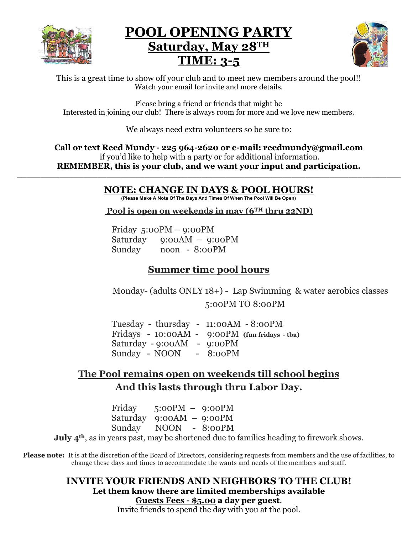

## **POOL OPENING PARTY Saturday, May 28TH TIME: 3-5**



This is a great time to show off your club and to meet new members around the pool!! Watch your email for invite and more details.

Please bring a friend or friends that might be Interested in joining our club! There is always room for more and we love new members.

We always need extra volunteers so be sure to:

**Call or text Reed Mundy - 225 964-2620 or e-mail: reedmundy@gmail.com** if you'd like to help with a party or for additional information. **REMEMBER, this is your club, and we want your input and participation. \_\_\_\_\_\_\_\_\_\_\_\_\_\_\_\_\_\_\_\_\_\_\_\_\_\_\_\_\_\_\_\_\_\_\_\_\_\_\_\_\_\_\_\_\_\_\_\_\_\_\_\_\_\_\_\_\_\_\_\_\_\_\_\_\_\_\_\_\_\_\_\_\_\_\_\_\_\_\_\_\_**

## **NOTE: CHANGE IN DAYS & POOL HOURS!**

**(Please Make A Note Of The Days And Times Of When The Pool Will Be Open)**

**Pool is open on weekends in may (6TH thru 22ND)**

Friday 5:00PM – 9:00PM Saturday 9:00AM – 9:00PM Sunday noon - 8:00PM

## **Summer time pool hours**

 Monday- (adults ONLY 18+) - Lap Swimming & water aerobics classes 5:00PM TO 8:00PM

Tuesday - thursday - 11:00AM - 8:00PM Fridays - 10:00AM - 9:00PM **(fun fridays - tba)** Saturday - 9:00AM - 9:00PM Sunday - NOON - 8:00PM

## **The Pool remains open on weekends till school begins And this lasts through thru Labor Day.**

Friday 5:00PM – 9:00PM Saturday 9:00AM – 9:00PM Sunday NOON - 8:00PM

**July 4th**, as in years past, may be shortened due to families heading to firework shows.

**Please note:** It is at the discretion of the Board of Directors, considering requests from members and the use of facilities, to change these days and times to accommodate the wants and needs of the members and staff.

## **INVITE YOUR FRIENDS AND NEIGHBORS TO THE CLUB! Let them know there are limited memberships available Guests Fees - \$5.00 a day per guest**.

Invite friends to spend the day with you at the pool.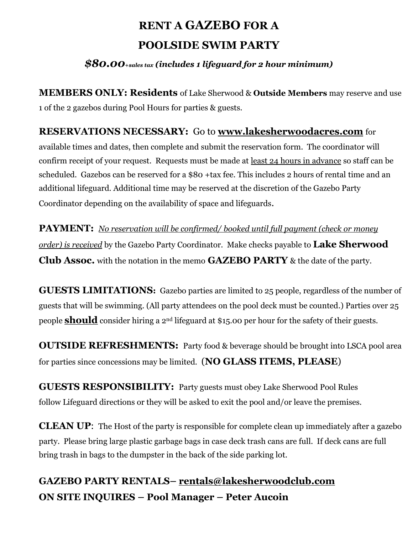## **RENT A GAZEBO FOR A POOLSIDE SWIM PARTY**

### *\$80.00+sales tax (includes 1 lifeguard for 2 hour minimum)*

**MEMBERS ONLY: Residents** of Lake Sherwood & **Outside Members** may reserve and use 1 of the 2 gazebos during Pool Hours for parties & guests.

### **RESERVATIONS NECESSARY:** Go to **[www.lakesherwoodacres.com](http://www.lakesherwoodacres.com/)** for

available times and dates, then complete and submit the reservation form. The coordinator will confirm receipt of your request. Requests must be made at least 24 hours in advance so staff can be scheduled. Gazebos can be reserved for a \$80 +tax fee. This includes 2 hours of rental time and an additional lifeguard. Additional time may be reserved at the discretion of the Gazebo Party Coordinator depending on the availability of space and lifeguards.

**PAYMENT:** *No reservation will be confirmed/ booked until full payment (check or money order) is received* by the Gazebo Party Coordinator. Make checks payable to **Lake Sherwood Club Assoc.** with the notation in the memo **GAZEBO PARTY** & the date of the party.

**GUESTS LIMITATIONS:** Gazebo parties are limited to 25 people, regardless of the number of guests that will be swimming. (All party attendees on the pool deck must be counted.) Parties over 25 people **should** consider hiring a 2nd lifeguard at \$15.00 per hour for the safety of their guests.

**OUTSIDE REFRESHMENTS:** Party food & beverage should be brought into LSCA pool area for parties since concessions may be limited. (**NO GLASS ITEMS, PLEASE**)

**GUESTS RESPONSIBILITY:** Party guests must obey Lake Sherwood Pool Rules follow Lifeguard directions or they will be asked to exit the pool and/or leave the premises.

**CLEAN UP**: The Host of the party is responsible for complete clean up immediately after a gazebo party. Please bring large plastic garbage bags in case deck trash cans are full. If deck cans are full bring trash in bags to the dumpster in the back of the side parking lot.

## **GAZEBO PARTY RENTALS– [rentals@lakesherwoodclub.com](mailto:rentals@lakesherwoodclub.com) ON SITE INQUIRES – Pool Manager – Peter Aucoin**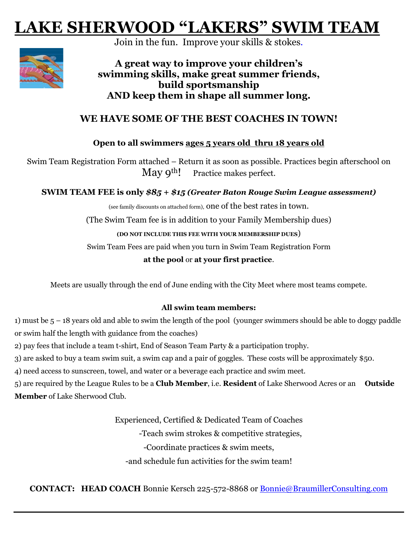# **LAKE SHERWOOD "LAKERS" SWIM TEAM**

Join in the fun. Improve your skills & stokes.



**A great way to improve your children's swimming skills, make great summer friends, build sportsmanship AND keep them in shape all summer long.**

### **WE HAVE SOME OF THE BEST COACHES IN TOWN!**

#### **Open to all swimmers ages 5 years old thru 18 years old**

Swim Team Registration Form attached – Return it as soon as possible. Practices begin afterschool on May  $9^{th}$ ! Practice makes perfect.

#### **SWIM TEAM FEE is only** *\$85 + \$15 (Greater Baton Rouge Swim League assessment)*

(see family discounts on attached form), one of the best rates in town. (The Swim Team fee is in addition to your Family Membership dues) **(DO NOT INCLUDE THIS FEE WITH YOUR MEMBERSHIP DUES**) Swim Team Fees are paid when you turn in Swim Team Registration Form

**at the pool** or **at your first practice**.

Meets are usually through the end of June ending with the City Meet where most teams compete.

#### **All swim team members:**

1) must be 5 – 18 years old and able to swim the length of the pool (younger swimmers should be able to doggy paddle or swim half the length with guidance from the coaches)

2) pay fees that include a team t-shirt, End of Season Team Party & a participation trophy.

3) are asked to buy a team swim suit, a swim cap and a pair of goggles. These costs will be approximately \$50.

4) need access to sunscreen, towel, and water or a beverage each practice and swim meet.

5) are required by the League Rules to be a **Club Member**, i.e. **Resident** of Lake Sherwood Acres or an **Outside Member** of Lake Sherwood Club.

> Experienced, Certified & Dedicated Team of Coaches -Teach swim strokes & competitive strategies, -Coordinate practices & swim meets, -and schedule fun activities for the swim team!

**CONTACT: HEAD COACH** Bonnie Kersch 225-572-8868 or [Bonnie@BraumillerConsulting.com](mailto:Bonnie@BraumillerConsulting.com)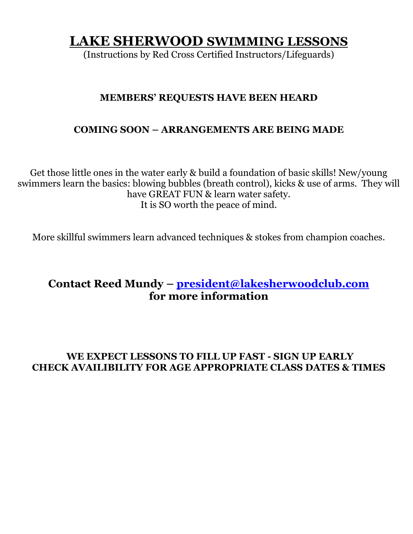## **LAKE SHERWOOD SWIMMING LESSONS**

(Instructions by Red Cross Certified Instructors/Lifeguards)

## **MEMBERS' REQUESTS HAVE BEEN HEARD**

### **COMING SOON – ARRANGEMENTS ARE BEING MADE**

Get those little ones in the water early & build a foundation of basic skills! New/young swimmers learn the basics: blowing bubbles (breath control), kicks & use of arms. They will have GREAT FUN & learn water safety. It is SO worth the peace of mind.

More skillful swimmers learn advanced techniques & stokes from champion coaches.

## **Contact Reed Mundy – [president@lakesherwoodclub.com](mailto:president@lakesherwoodclub.com) for more information**

### **WE EXPECT LESSONS TO FILL UP FAST - SIGN UP EARLY CHECK AVAILIBILITY FOR AGE APPROPRIATE CLASS DATES & TIMES**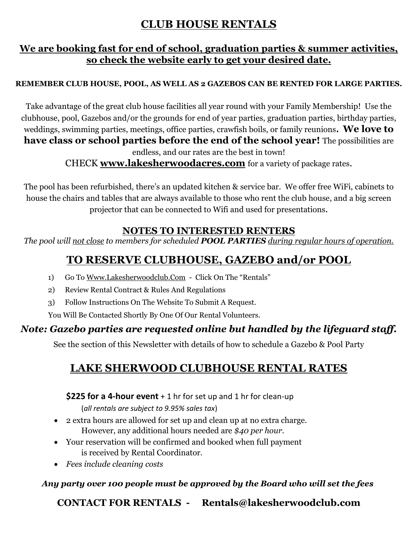## **CLUB HOUSE RENTALS**

## **We are booking fast for end of school, graduation parties & summer activities, so check the website early to get your desired date.**

#### **REMEMBER CLUB HOUSE, POOL, AS WELL AS 2 GAZEBOS CAN BE RENTED FOR LARGE PARTIES.**

Take advantage of the great club house facilities all year round with your Family Membership! Use the clubhouse, pool, Gazebos and/or the grounds for end of year parties, graduation parties, birthday parties, weddings, swimming parties, meetings, office parties, crawfish boils, or family reunions**. We love to have class or school parties before the end of the school year!** The possibilities are endless, and our rates are the best in town!

CHECK **[www.lakesherwoodacres.com](http://www.lakesherwoodacres.com/)** for a variety of package rates.

The pool has been refurbished, there's an updated kitchen & service bar. We offer free WiFi, cabinets to house the chairs and tables that are always available to those who rent the club house, and a big screen projector that can be connected to Wifi and used for presentations.

### **NOTES TO INTERESTED RENTERS**

*The pool will not close to members for scheduled POOL PARTIES during regular hours of operation.*

## **TO RESERVE CLUBHOUSE, GAZEBO and/or POOL**

- 1) Go To [Www.Lakesherwoodclub.Com](http://www.lakesherwoodclub.com/)  Click On The "Rentals"
- 2) Review Rental Contract & Rules And Regulations
- 3) Follow Instructions On The Website To Submit A Request.

You Will Be Contacted Shortly By One Of Our Rental Volunteers.

## *Note: Gazebo parties are requested online but handled by the lifeguard staff.*

See the section of this Newsletter with details of how to schedule a Gazebo & Pool Party

## **LAKE SHERWOOD CLUBHOUSE RENTAL RATES**

**\$225 for a 4-hour event** + 1 hr for set up and 1 hr for clean-up (*all rentals are subject to 9.95% sales tax*)

- 2 extra hours are allowed for set up and clean up at no extra charge. However, any additional hours needed are *\$40 per hour.*
- Your reservation will be confirmed and booked when full payment is received by Rental Coordinator.
- *Fees include cleaning costs*

### *Any party over 100 people must be approved by the Board who will set the fees*

**CONTACT FOR RENTALS - Rentals@lakesherwoodclub.com**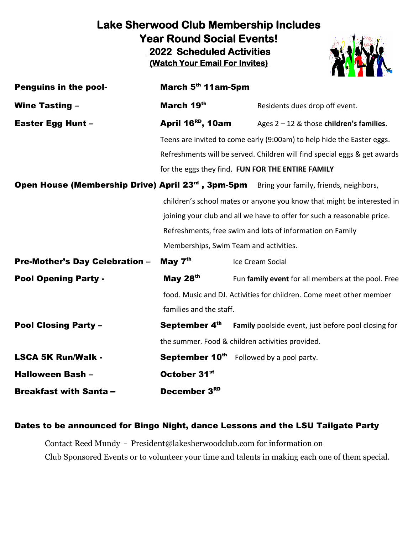## **Lake Sherwood Club Membership Includes Year Round Social Events! 2022 Scheduled Activities (Watch Your Email For Invites)**



| <b>Penguins in the pool-</b>          | March 5th 11am-5pm                                                      |                                                                                                            |
|---------------------------------------|-------------------------------------------------------------------------|------------------------------------------------------------------------------------------------------------|
| <b>Wine Tasting -</b>                 | March 19th                                                              | Residents dues drop off event.                                                                             |
| <b>Easter Egg Hunt -</b>              | April 16 <sup>RD</sup> , 10am                                           | Ages $2 - 12$ & those children's families.                                                                 |
|                                       |                                                                         | Teens are invited to come early (9:00am) to help hide the Easter eggs.                                     |
|                                       |                                                                         | Refreshments will be served. Children will find special eggs & get awards                                  |
|                                       |                                                                         | for the eggs they find. FUN FOR THE ENTIRE FAMILY                                                          |
|                                       |                                                                         | <b>Open House (Membership Drive) April 23<sup>rd</sup>, 3pm-5pm</b> Bring your family, friends, neighbors, |
|                                       |                                                                         | children's school mates or anyone you know that might be interested in                                     |
|                                       | joining your club and all we have to offer for such a reasonable price. |                                                                                                            |
|                                       |                                                                         | Refreshments, free swim and lots of information on Family                                                  |
|                                       | Memberships, Swim Team and activities.                                  |                                                                                                            |
| <b>Pre-Mother's Day Celebration -</b> | May $7th$                                                               | Ice Cream Social                                                                                           |
| <b>Pool Opening Party -</b>           | May $28th$                                                              | Fun family event for all members at the pool. Free                                                         |
|                                       |                                                                         | food. Music and DJ. Activities for children. Come meet other member                                        |
|                                       | families and the staff.                                                 |                                                                                                            |
| <b>Pool Closing Party -</b>           | September 4th                                                           | Family poolside event, just before pool closing for                                                        |
|                                       |                                                                         | the summer. Food & children activities provided.                                                           |
| <b>LSCA 5K Run/Walk -</b>             |                                                                         | <b>September 10th</b> Followed by a pool party.                                                            |
| Halloween Bash -                      | October 31 <sup>st</sup>                                                |                                                                                                            |
| <b>Breakfast with Santa-</b>          | December 3RD                                                            |                                                                                                            |

#### Dates to be announced for Bingo Night, dance Lessons and the LSU Tailgate Party

Contact Reed Mundy - President@lakesherwoodclub.com for information on Club Sponsored Events or to volunteer your time and talents in making each one of them special.